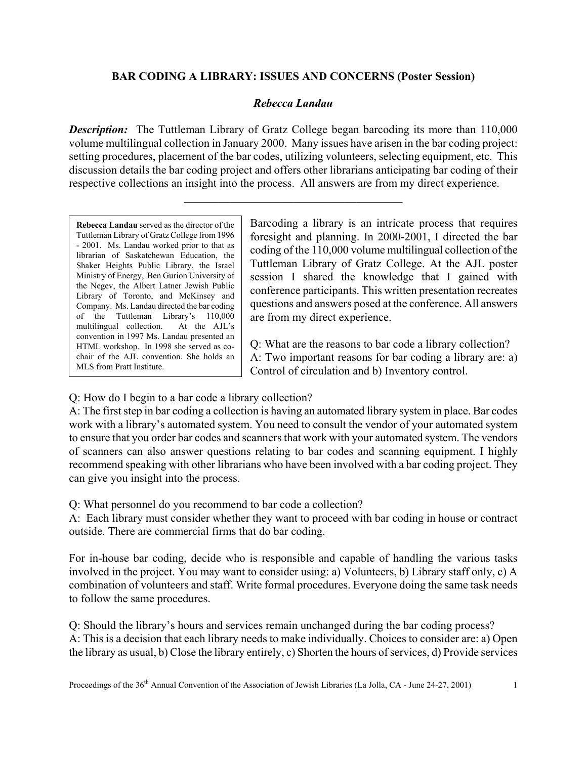## **BAR CODING A LIBRARY: ISSUES AND CONCERNS (Poster Session)**

## *Rebecca Landau*

**Description:** The Tuttleman Library of Gratz College began barcoding its more than 110,000 volume multilingual collection in January 2000. Many issues have arisen in the bar coding project: setting procedures, placement of the bar codes, utilizing volunteers, selecting equipment, etc. This discussion details the bar coding project and offers other librarians anticipating bar coding of their respective collections an insight into the process. All answers are from my direct experience.

 $\mathcal{L}_\text{max}$ 

**Rebecca Landau** served as the director of the Tuttleman Library of Gratz College from 1996 - 2001. Ms. Landau worked prior to that as librarian of Saskatchewan Education, the Shaker Heights Public Library, the Israel Ministry of Energy, Ben Gurion University of the Negev, the Albert Latner Jewish Public Library of Toronto, and McKinsey and Company. Ms. Landau directed the bar coding of the Tuttleman Library's 110,000 multilingual collection. At the AJL's convention in 1997 Ms. Landau presented an HTML workshop. In 1998 she served as cochair of the AJL convention. She holds an MLS from Pratt Institute.

Barcoding a library is an intricate process that requires foresight and planning. In 2000-2001, I directed the bar coding of the 110,000 volume multilingual collection of the Tuttleman Library of Gratz College. At the AJL poster session I shared the knowledge that I gained with conference participants. This written presentation recreates questions and answers posed at the conference. All answers are from my direct experience.

Q: What are the reasons to bar code a library collection? A: Two important reasons for bar coding a library are: a) Control of circulation and b) Inventory control.

Q: How do I begin to a bar code a library collection?

A: The first step in bar coding a collection is having an automated library system in place. Bar codes work with a library's automated system. You need to consult the vendor of your automated system to ensure that you order bar codes and scanners that work with your automated system. The vendors of scanners can also answer questions relating to bar codes and scanning equipment. I highly recommend speaking with other librarians who have been involved with a bar coding project. They can give you insight into the process.

Q: What personnel do you recommend to bar code a collection?

A: Each library must consider whether they want to proceed with bar coding in house or contract outside. There are commercial firms that do bar coding.

For in-house bar coding, decide who is responsible and capable of handling the various tasks involved in the project. You may want to consider using: a) Volunteers, b) Library staff only, c) A combination of volunteers and staff. Write formal procedures. Everyone doing the same task needs to follow the same procedures.

Q: Should the library's hours and services remain unchanged during the bar coding process? A: This is a decision that each library needs to make individually. Choices to consider are: a) Open the library as usual, b) Close the library entirely, c) Shorten the hours of services, d) Provide services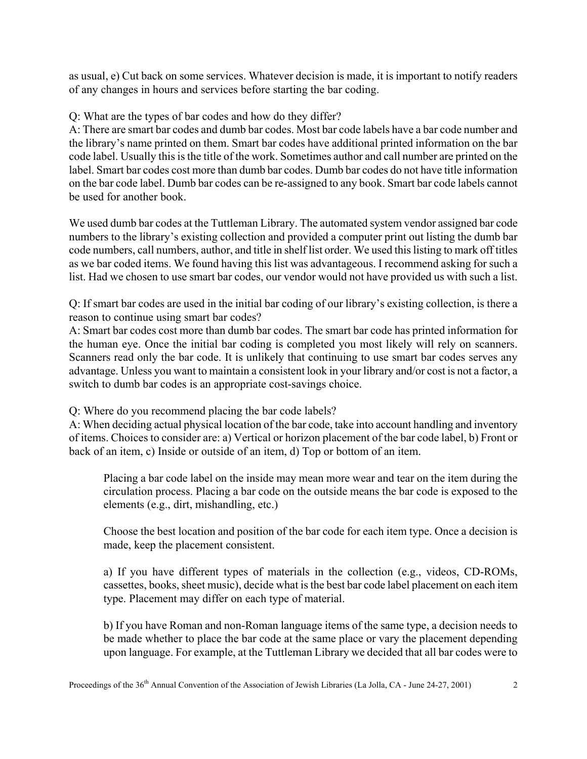as usual, e) Cut back on some services. Whatever decision is made, it is important to notify readers of any changes in hours and services before starting the bar coding.

Q: What are the types of bar codes and how do they differ?

A: There are smart bar codes and dumb bar codes. Most bar code labels have a bar code number and the library's name printed on them. Smart bar codes have additional printed information on the bar code label. Usually this is the title of the work. Sometimes author and call number are printed on the label. Smart bar codes cost more than dumb bar codes. Dumb bar codes do not have title information on the bar code label. Dumb bar codes can be re-assigned to any book. Smart bar code labels cannot be used for another book.

We used dumb bar codes at the Tuttleman Library. The automated system vendor assigned bar code numbers to the library's existing collection and provided a computer print out listing the dumb bar code numbers, call numbers, author, and title in shelf list order. We used this listing to mark off titles as we bar coded items. We found having this list was advantageous. I recommend asking for such a list. Had we chosen to use smart bar codes, our vendor would not have provided us with such a list.

Q: If smart bar codes are used in the initial bar coding of our library's existing collection, is there a reason to continue using smart bar codes?

A: Smart bar codes cost more than dumb bar codes. The smart bar code has printed information for the human eye. Once the initial bar coding is completed you most likely will rely on scanners. Scanners read only the bar code. It is unlikely that continuing to use smart bar codes serves any advantage. Unless you want to maintain a consistent look in your library and/or cost is not a factor, a switch to dumb bar codes is an appropriate cost-savings choice.

Q: Where do you recommend placing the bar code labels?

A: When deciding actual physical location of the bar code, take into account handling and inventory of items. Choices to consider are: a) Vertical or horizon placement of the bar code label, b) Front or back of an item, c) Inside or outside of an item, d) Top or bottom of an item.

Placing a bar code label on the inside may mean more wear and tear on the item during the circulation process. Placing a bar code on the outside means the bar code is exposed to the elements (e.g., dirt, mishandling, etc.)

Choose the best location and position of the bar code for each item type. Once a decision is made, keep the placement consistent.

a) If you have different types of materials in the collection (e.g., videos, CD-ROMs, cassettes, books, sheet music), decide what is the best bar code label placement on each item type. Placement may differ on each type of material.

b) If you have Roman and non-Roman language items of the same type, a decision needs to be made whether to place the bar code at the same place or vary the placement depending upon language. For example, at the Tuttleman Library we decided that all bar codes were to